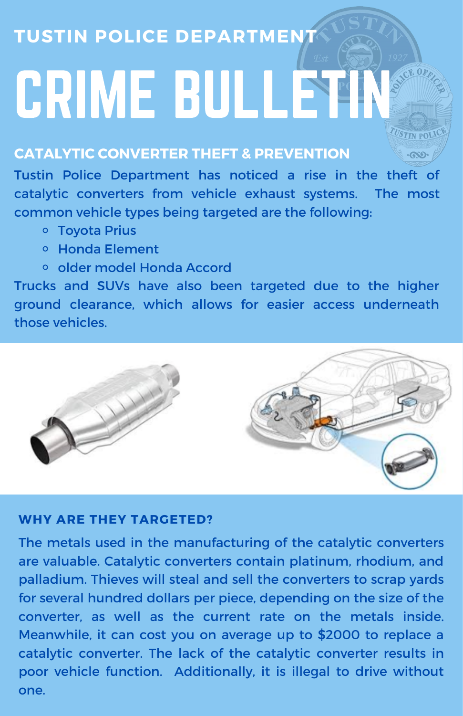## **TUSTIN POLICE DEPARTMENT**

# CRIME BULLETIN

### **CATALYTIC CONVERTER THEFT & PREVENTION**

Tustin Police Department has noticed a rise in the theft of catalytic converters from vehicle exhaust systems. The most common vehicle types being targeted are the following:

**TUSTIN POLI** 

- Toyota Prius
- Honda Element
- older model Honda Accord

Trucks and SUVs have also been targeted due to the higher ground clearance, which allows for easier access underneath those vehicles.



#### **WHY ARE THEY TARGETED?**

The metals used in the manufacturing of the catalytic converters are valuable. Catalytic converters contain platinum, rhodium, and palladium. Thieves will steal and sell the converters to scrap yards for several hundred dollars per piece, depending on the size of the converter, as well as the current rate on the metals inside. Meanwhile, it can cost you on average up to \$2000 to replace a catalytic converter. The lack of the catalytic converter results in poor vehicle function. Additionally, it is illegal to drive without one.